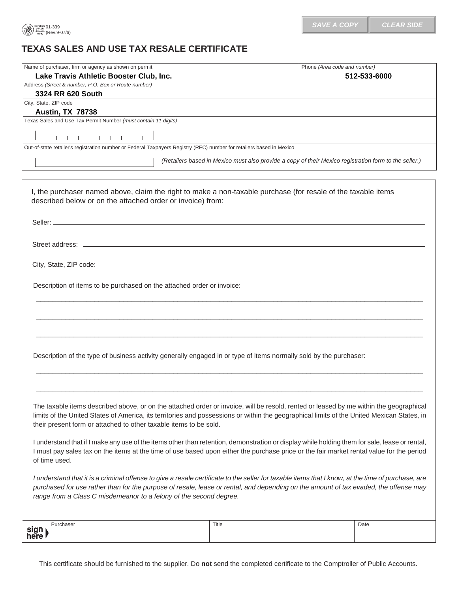## **TEXAS SALES AND USE TAX RESALE CERTIFICATE**

*range from a Class C misdemeanor to a felony of the second degree.* 

| $\begin{array}{l} \begin{array}{ c c } \hline \text{14} & \text{Computation} & 01-339 \\ \hline \text{15} & \text{4 Fock} & \text{16 FOM} \\ \hline \text{16} & \text{16 FOM} & \text{16 FOM} \\ \hline \end{array} \end{array} \begin{array}{l} \text{Comptubla} & 01-339 \\ \hline \text{16 FOM} & \text{16 FOM} & \text{16 FOM} \\ \hline \end{array}$ | SAVE A COPY                                                                                           | <b>CLEAR SIDE</b>                            |  |
|-----------------------------------------------------------------------------------------------------------------------------------------------------------------------------------------------------------------------------------------------------------------------------------------------------------------------------------------------------------|-------------------------------------------------------------------------------------------------------|----------------------------------------------|--|
| <b>TEXAS SALES AND USE TAX RESALE CERTIFICATE</b>                                                                                                                                                                                                                                                                                                         |                                                                                                       |                                              |  |
|                                                                                                                                                                                                                                                                                                                                                           |                                                                                                       |                                              |  |
| Name of purchaser, firm or agency as shown on permit<br>Lake Travis Athletic Booster Club, Inc.                                                                                                                                                                                                                                                           |                                                                                                       | Phone (Area code and number)<br>512-533-6000 |  |
| Address (Street & number, P.O. Box or Route number)<br>3324 RR 620 South                                                                                                                                                                                                                                                                                  |                                                                                                       |                                              |  |
| City, State, ZIP code                                                                                                                                                                                                                                                                                                                                     |                                                                                                       |                                              |  |
| <b>Austin, TX 78738</b><br>Texas Sales and Use Tax Permit Number (must contain 11 digits)                                                                                                                                                                                                                                                                 |                                                                                                       |                                              |  |
|                                                                                                                                                                                                                                                                                                                                                           |                                                                                                       |                                              |  |
| <u> 1900 - Peter Benedict Benedict Benedict</u>                                                                                                                                                                                                                                                                                                           |                                                                                                       |                                              |  |
| Out-of-state retailer's registration number or Federal Taxpayers Registry (RFC) number for retailers based in Mexico                                                                                                                                                                                                                                      |                                                                                                       |                                              |  |
|                                                                                                                                                                                                                                                                                                                                                           | (Retailers based in Mexico must also provide a copy of their Mexico registration form to the seller.) |                                              |  |
|                                                                                                                                                                                                                                                                                                                                                           |                                                                                                       |                                              |  |
| I, the purchaser named above, claim the right to make a non-taxable purchase (for resale of the taxable items                                                                                                                                                                                                                                             |                                                                                                       |                                              |  |
| described below or on the attached order or invoice) from:                                                                                                                                                                                                                                                                                                |                                                                                                       |                                              |  |
|                                                                                                                                                                                                                                                                                                                                                           |                                                                                                       |                                              |  |
|                                                                                                                                                                                                                                                                                                                                                           |                                                                                                       |                                              |  |
|                                                                                                                                                                                                                                                                                                                                                           |                                                                                                       |                                              |  |
|                                                                                                                                                                                                                                                                                                                                                           |                                                                                                       |                                              |  |
|                                                                                                                                                                                                                                                                                                                                                           |                                                                                                       |                                              |  |
|                                                                                                                                                                                                                                                                                                                                                           |                                                                                                       |                                              |  |
| Description of items to be purchased on the attached order or invoice:                                                                                                                                                                                                                                                                                    |                                                                                                       |                                              |  |
|                                                                                                                                                                                                                                                                                                                                                           |                                                                                                       |                                              |  |
|                                                                                                                                                                                                                                                                                                                                                           |                                                                                                       |                                              |  |
|                                                                                                                                                                                                                                                                                                                                                           |                                                                                                       |                                              |  |
|                                                                                                                                                                                                                                                                                                                                                           |                                                                                                       |                                              |  |
| Description of the type of business activity generally engaged in or type of items normally sold by the purchaser:                                                                                                                                                                                                                                        |                                                                                                       |                                              |  |
|                                                                                                                                                                                                                                                                                                                                                           |                                                                                                       |                                              |  |
|                                                                                                                                                                                                                                                                                                                                                           |                                                                                                       |                                              |  |
|                                                                                                                                                                                                                                                                                                                                                           |                                                                                                       |                                              |  |
| The taxable items described above, or on the attached order or invoice, will be resold, rented or leased by me within the geographical                                                                                                                                                                                                                    |                                                                                                       |                                              |  |
| limits of the United States of America, its territories and possessions or within the geographical limits of the United Mexican States, in                                                                                                                                                                                                                |                                                                                                       |                                              |  |
| their present form or attached to other taxable items to be sold.                                                                                                                                                                                                                                                                                         |                                                                                                       |                                              |  |
| I understand that if I make any use of the items other than retention, demonstration or display while holding them for sale, lease or rental,                                                                                                                                                                                                             |                                                                                                       |                                              |  |
| I must pay sales tax on the items at the time of use based upon either the purchase price or the fair market rental value for the period                                                                                                                                                                                                                  |                                                                                                       |                                              |  |
| of time used.                                                                                                                                                                                                                                                                                                                                             |                                                                                                       |                                              |  |
| I understand that it is a criminal offense to give a resale certificate to the seller for taxable items that I know, at the time of purchase, are                                                                                                                                                                                                         |                                                                                                       |                                              |  |
| purchased for use rather than for the purpose of resale, lease or rental, and depending on the amount of tax evaded, the offense may                                                                                                                                                                                                                      |                                                                                                       |                                              |  |

Purchaser **Date** Date **Date 2018 Date 2018 Date 2018 Date 2018 Date 2018 Date** 2019 **Date** 2019 **Date** 2019 sign ><br>here >

This certificate should be furnished to the supplier. Do **not** send the completed certificate to the Comptroller of Public Accounts.